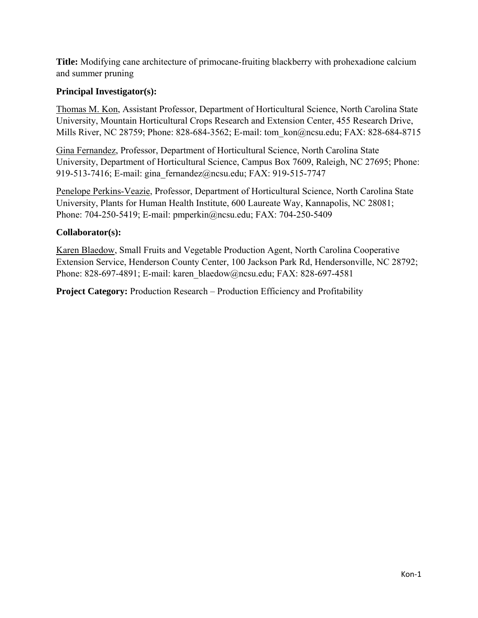**Title:** Modifying cane architecture of primocane-fruiting blackberry with prohexadione calcium and summer pruning

# **Principal Investigator(s):**

Thomas M. Kon, Assistant Professor, Department of Horticultural Science, North Carolina State University, Mountain Horticultural Crops Research and Extension Center, 455 Research Drive, Mills River, NC 28759; Phone: 828-684-3562; E-mail: tom kon@ncsu.edu; FAX: 828-684-8715

Gina Fernandez, Professor, Department of Horticultural Science, North Carolina State University, Department of Horticultural Science, Campus Box 7609, Raleigh, NC 27695; Phone: 919-513-7416; E-mail: gina\_fernandez@ncsu.edu; FAX: 919-515-7747

Penelope Perkins-Veazie, Professor, Department of Horticultural Science, North Carolina State University, Plants for Human Health Institute, 600 Laureate Way, Kannapolis, NC 28081; Phone: 704-250-5419; E-mail: pmperkin@ncsu.edu; FAX: 704-250-5409

#### **Collaborator(s):**

Karen Blaedow, Small Fruits and Vegetable Production Agent, North Carolina Cooperative Extension Service, Henderson County Center, 100 Jackson Park Rd, Hendersonville, NC 28792; Phone: 828-697-4891; E-mail: karen\_blaedow@ncsu.edu; FAX: 828-697-4581

**Project Category:** Production Research – Production Efficiency and Profitability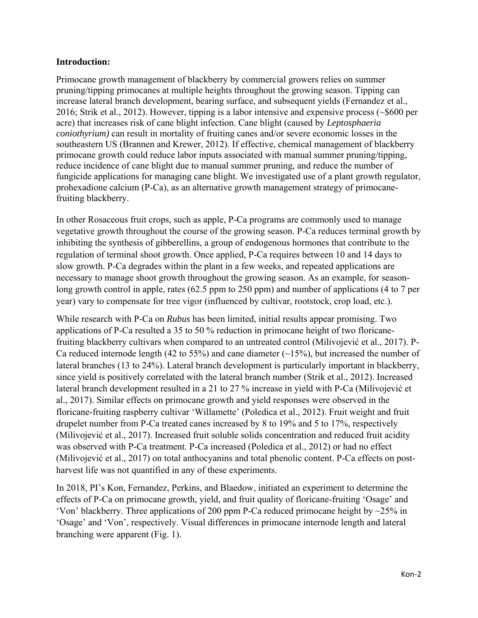#### **Introduction:**

Primocane growth management of blackberry by commercial growers relies on summer pruning/tipping primocanes at multiple heights throughout the growing season. Tipping can increase lateral branch development, bearing surface, and subsequent yields (Fernandez et al., 2016; Strik et al., 2012). However, tipping is a labor intensive and expensive process (~\$600 per acre) that increases risk of cane blight infection. Cane blight (caused by *Leptosphaeria coniothyrium)* can result in mortality of fruiting canes and/or severe economic losses in the southeastern US (Brannen and Krewer, 2012). If effective, chemical management of blackberry primocane growth could reduce labor inputs associated with manual summer pruning/tipping, reduce incidence of cane blight due to manual summer pruning, and reduce the number of fungicide applications for managing cane blight. We investigated use of a plant growth regulator, prohexadione calcium (P-Ca), as an alternative growth management strategy of primocanefruiting blackberry.

In other Rosaceous fruit crops, such as apple, P-Ca programs are commonly used to manage vegetative growth throughout the course of the growing season. P-Ca reduces terminal growth by inhibiting the synthesis of gibberellins, a group of endogenous hormones that contribute to the regulation of terminal shoot growth. Once applied, P-Ca requires between 10 and 14 days to slow growth. P-Ca degrades within the plant in a few weeks, and repeated applications are necessary to manage shoot growth throughout the growing season. As an example, for seasonlong growth control in apple, rates (62.5 ppm to 250 ppm) and number of applications (4 to 7 per year) vary to compensate for tree vigor (influenced by cultivar, rootstock, crop load, etc.).

While research with P-Ca on *Rubus* has been limited, initial results appear promising. Two applications of P-Ca resulted a 35 to 50 % reduction in primocane height of two floricanefruiting blackberry cultivars when compared to an untreated control (Milivojević et al., 2017). P-Ca reduced internode length (42 to 55%) and cane diameter  $(\sim 15\%)$ , but increased the number of lateral branches (13 to 24%). Lateral branch development is particularly important in blackberry, since yield is positively correlated with the lateral branch number (Strik et al., 2012). Increased lateral branch development resulted in a 21 to 27 % increase in yield with P-Ca (Milivojević et al., 2017). Similar effects on primocane growth and yield responses were observed in the floricane-fruiting raspberry cultivar 'Willamette' (Poledica et al., 2012). Fruit weight and fruit drupelet number from P-Ca treated canes increased by 8 to 19% and 5 to 17%, respectively (Milivojević et al., 2017). Increased fruit soluble solids concentration and reduced fruit acidity was observed with P-Ca treatment. P-Ca increased (Poledica et al., 2012) or had no effect (Milivojević et al., 2017) on total anthocyanins and total phenolic content. P-Ca effects on postharvest life was not quantified in any of these experiments.

In 2018, PI's Kon, Fernandez, Perkins, and Blaedow, initiated an experiment to determine the effects of P-Ca on primocane growth, yield, and fruit quality of floricane-fruiting 'Osage' and 'Von' blackberry. Three applications of 200 ppm P-Ca reduced primocane height by  $\sim$ 25% in 'Osage' and 'Von', respectively. Visual differences in primocane internode length and lateral branching were apparent (Fig. 1).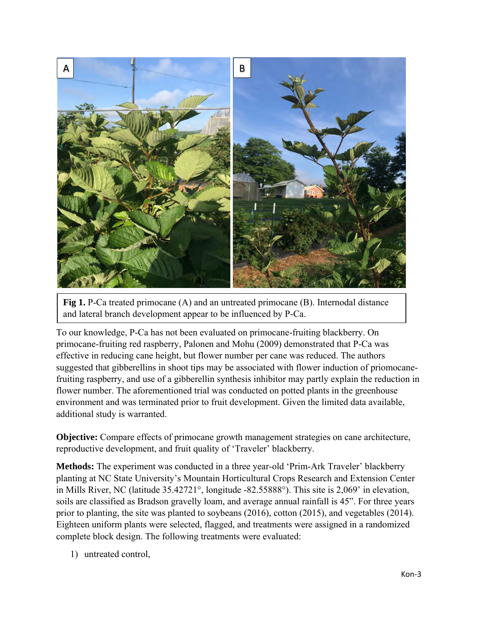

**Fig 1.** P-Ca treated primocane (A) and an untreated primocane (B). Internodal distance and lateral branch development appear to be influenced by P-Ca.

To our knowledge, P-Ca has not been evaluated on primocane-fruiting blackberry. On primocane-fruiting red raspberry, Palonen and Mohu (2009) demonstrated that P-Ca was effective in reducing cane height, but flower number per cane was reduced. The authors suggested that gibberellins in shoot tips may be associated with flower induction of priomocanefruiting raspberry, and use of a gibberellin synthesis inhibitor may partly explain the reduction in flower number. The aforementioned trial was conducted on potted plants in the greenhouse environment and was terminated prior to fruit development. Given the limited data available, additional study is warranted.

**Objective:** Compare effects of primocane growth management strategies on cane architecture, reproductive development, and fruit quality of 'Traveler' blackberry.

**Methods:** The experiment was conducted in a three year-old 'Prim-Ark Traveler' blackberry planting at NC State University's Mountain Horticultural Crops Research and Extension Center in Mills River, NC (latitude 35.42721°, longitude -82.55888°). This site is 2,069' in elevation, soils are classified as Bradson gravelly loam, and average annual rainfall is 45". For three years prior to planting, the site was planted to soybeans (2016), cotton (2015), and vegetables (2014). Eighteen uniform plants were selected, flagged, and treatments were assigned in a randomized complete block design. The following treatments were evaluated:

1) untreated control,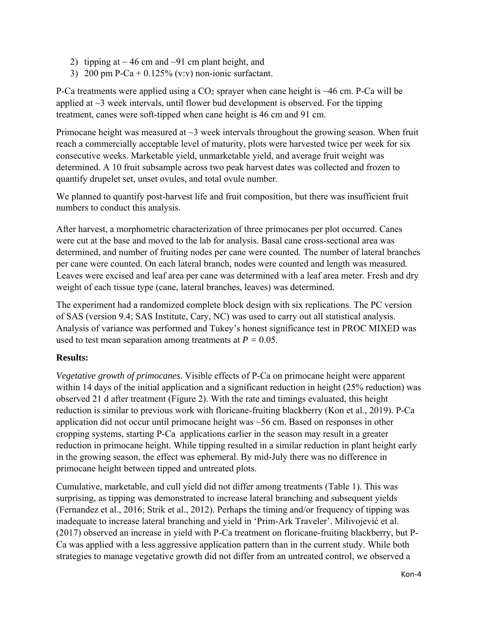- 2) tipping at  $\sim$  46 cm and  $\sim$ 91 cm plant height, and
- 3) 200 pm P-Ca +  $0.125\%$  (v:v) non-ionic surfactant.

P-Ca treatments were applied using a  $CO<sub>2</sub>$  sprayer when cane height is  $\sim$ 46 cm. P-Ca will be applied at  $\sim$ 3 week intervals, until flower bud development is observed. For the tipping treatment, canes were soft-tipped when cane height is 46 cm and 91 cm.

Primocane height was measured at  $\sim$ 3 week intervals throughout the growing season. When fruit reach a commercially acceptable level of maturity, plots were harvested twice per week for six consecutive weeks. Marketable yield, unmarketable yield, and average fruit weight was determined. A 10 fruit subsample across two peak harvest dates was collected and frozen to quantify drupelet set, unset ovules, and total ovule number.

We planned to quantify post-harvest life and fruit composition, but there was insufficient fruit numbers to conduct this analysis.

After harvest, a morphometric characterization of three primocanes per plot occurred. Canes were cut at the base and moved to the lab for analysis. Basal cane cross-sectional area was determined, and number of fruiting nodes per cane were counted. The number of lateral branches per cane were counted. On each lateral branch, nodes were counted and length was measured. Leaves were excised and leaf area per cane was determined with a leaf area meter. Fresh and dry weight of each tissue type (cane, lateral branches, leaves) was determined.

The experiment had a randomized complete block design with six replications. The PC version of SAS (version 9.4; SAS Institute, Cary, NC) was used to carry out all statistical analysis. Analysis of variance was performed and Tukey's honest significance test in PROC MIXED was used to test mean separation among treatments at  $P = 0.05$ .

# **Results:**

*Vegetative growth of primocanes.* Visible effects of P-Ca on primocane height were apparent within 14 days of the initial application and a significant reduction in height (25% reduction) was observed 21 d after treatment (Figure 2). With the rate and timings evaluated, this height reduction is similar to previous work with floricane-fruiting blackberry (Kon et al., 2019). P-Ca application did not occur until primocane height was ~56 cm. Based on responses in other cropping systems, starting P-Ca applications earlier in the season may result in a greater reduction in primocane height. While tipping resulted in a similar reduction in plant height early in the growing season, the effect was ephemeral. By mid-July there was no difference in primocane height between tipped and untreated plots.

Cumulative, marketable, and cull yield did not differ among treatments (Table 1). This was surprising, as tipping was demonstrated to increase lateral branching and subsequent yields (Fernandez et al., 2016; Strik et al., 2012). Perhaps the timing and/or frequency of tipping was inadequate to increase lateral branching and yield in 'Prim-Ark Traveler'. Milivojević et al. (2017) observed an increase in yield with P-Ca treatment on floricane-fruiting blackberry, but P-Ca was applied with a less aggressive application pattern than in the current study. While both strategies to manage vegetative growth did not differ from an untreated control, we observed a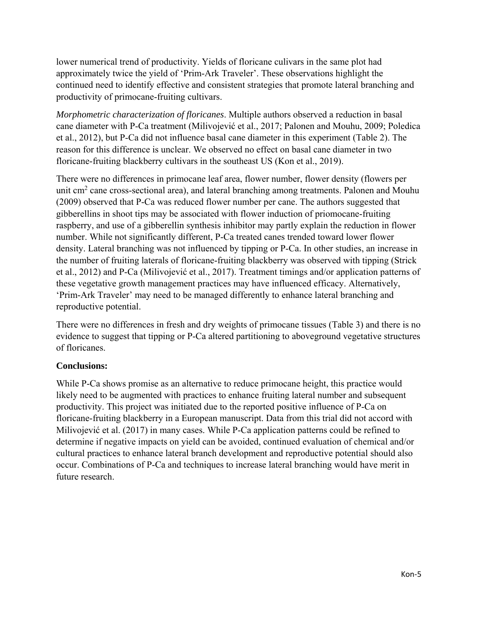lower numerical trend of productivity. Yields of floricane culivars in the same plot had approximately twice the yield of 'Prim-Ark Traveler'. These observations highlight the continued need to identify effective and consistent strategies that promote lateral branching and productivity of primocane-fruiting cultivars.

*Morphometric characterization of floricanes*. Multiple authors observed a reduction in basal cane diameter with P-Ca treatment (Milivojević et al., 2017; Palonen and Mouhu, 2009; Poledica et al., 2012), but P-Ca did not influence basal cane diameter in this experiment (Table 2). The reason for this difference is unclear. We observed no effect on basal cane diameter in two floricane-fruiting blackberry cultivars in the southeast US (Kon et al., 2019).

There were no differences in primocane leaf area, flower number, flower density (flowers per unit cm<sup>2</sup> cane cross-sectional area), and lateral branching among treatments. Palonen and Mouhu (2009) observed that P-Ca was reduced flower number per cane. The authors suggested that gibberellins in shoot tips may be associated with flower induction of priomocane-fruiting raspberry, and use of a gibberellin synthesis inhibitor may partly explain the reduction in flower number. While not significantly different, P-Ca treated canes trended toward lower flower density. Lateral branching was not influenced by tipping or P-Ca. In other studies, an increase in the number of fruiting laterals of floricane-fruiting blackberry was observed with tipping (Strick et al., 2012) and P-Ca (Milivojević et al., 2017). Treatment timings and/or application patterns of these vegetative growth management practices may have influenced efficacy. Alternatively, 'Prim-Ark Traveler' may need to be managed differently to enhance lateral branching and reproductive potential.

There were no differences in fresh and dry weights of primocane tissues (Table 3) and there is no evidence to suggest that tipping or P-Ca altered partitioning to aboveground vegetative structures of floricanes.

# **Conclusions:**

While P-Ca shows promise as an alternative to reduce primocane height, this practice would likely need to be augmented with practices to enhance fruiting lateral number and subsequent productivity. This project was initiated due to the reported positive influence of P-Ca on floricane-fruiting blackberry in a European manuscript. Data from this trial did not accord with Milivojević et al. (2017) in many cases. While P-Ca application patterns could be refined to determine if negative impacts on yield can be avoided, continued evaluation of chemical and/or cultural practices to enhance lateral branch development and reproductive potential should also occur. Combinations of P-Ca and techniques to increase lateral branching would have merit in future research.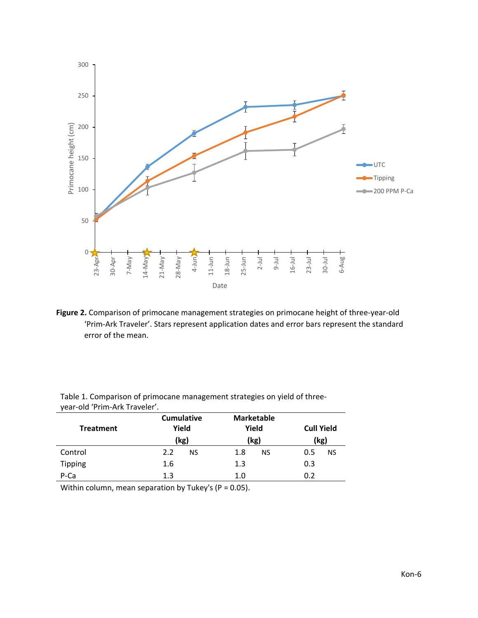

**Figure 2.** Comparison of primocane management strategies on primocane height of three-year-old 'Prim-Ark Traveler'. Stars represent application dates and error bars represent the standard error of the mean.

| <b>Treatment</b> | <b>Cumulative</b><br>Yield<br>(kg) | <b>Marketable</b><br>Yield<br>(kg) | <b>Cull Yield</b><br>(kg) |  |  |
|------------------|------------------------------------|------------------------------------|---------------------------|--|--|
| Control          | 2.2<br>NS                          | 1.8<br>NS                          | 0.5<br><b>NS</b>          |  |  |
| <b>Tipping</b>   | 1.6                                | 1.3                                | 0.3                       |  |  |
| P-Ca             | 1.3                                | 1.0                                | 0.2                       |  |  |

Table 1. Comparison of primocane management strategies on yield of threeyear-old 'Prim-Ark Traveler'.

Within column, mean separation by Tukey's (P = 0.05).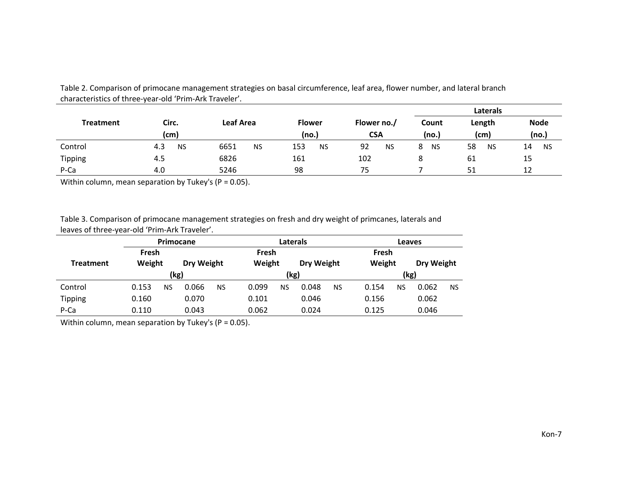|                  |                  |                   |                        |                           | Laterals       |                 |                      |
|------------------|------------------|-------------------|------------------------|---------------------------|----------------|-----------------|----------------------|
| <b>Treatment</b> | Circ.<br>(cm)    | Leaf Area         | <b>Flower</b><br>(no.) | Flower no./<br><b>CSA</b> | Count<br>(no.) | Length<br>(cm)  | <b>Node</b><br>(no.) |
| Control          | 4.3<br><b>NS</b> | 6651<br><b>NS</b> | 153<br><b>NS</b>       | 92<br><b>NS</b>           | <b>NS</b>      | 58<br><b>NS</b> | <b>NS</b><br>14      |
| Tipping          | 4.5              | 6826              | 161                    | 102                       |                | 61              | 15                   |
| P-Ca             | 4.0              | 5246              | 98                     | 75                        |                | 51              | 12                   |

Table 2. Comparison of primocane management strategies on basal circumference, leaf area, flower number, and lateral branch characteristics of three-year-old 'Prim-Ark Traveler'.

Within column, mean separation by Tukey's ( $P = 0.05$ ).

Table 3. Comparison of primocane management strategies on fresh and dry weight of primcanes, laterals and leaves of three-year-old 'Prim-Ark Traveler'.

|                  | Primocane       |    |            |     | <b>Laterals</b> |           |            |           | Leaves          |      |            |           |  |
|------------------|-----------------|----|------------|-----|-----------------|-----------|------------|-----------|-----------------|------|------------|-----------|--|
| <b>Treatment</b> | Fresh<br>Weight |    |            |     | Fresh<br>Weight |           |            |           | Fresh<br>Weight |      |            |           |  |
|                  |                 |    | Dry Weight |     |                 |           | Dry Weight |           |                 |      | Dry Weight |           |  |
|                  | (kg)            |    |            |     |                 | (kg)      |            |           |                 | (kg) |            |           |  |
| Control          | 0.153           | NS | 0.066      | NS. | 0.099           | <b>NS</b> | 0.048      | <b>NS</b> | 0.154           | NS   | 0.062      | <b>NS</b> |  |
| <b>Tipping</b>   | 0.160           |    | 0.070      |     | 0.101           |           | 0.046      |           | 0.156           |      | 0.062      |           |  |
| P-Ca             | 0.110           |    | 0.043      |     | 0.062           |           | 0.024      |           | 0.125           |      | 0.046      |           |  |

Within column, mean separation by Tukey's (P = 0.05).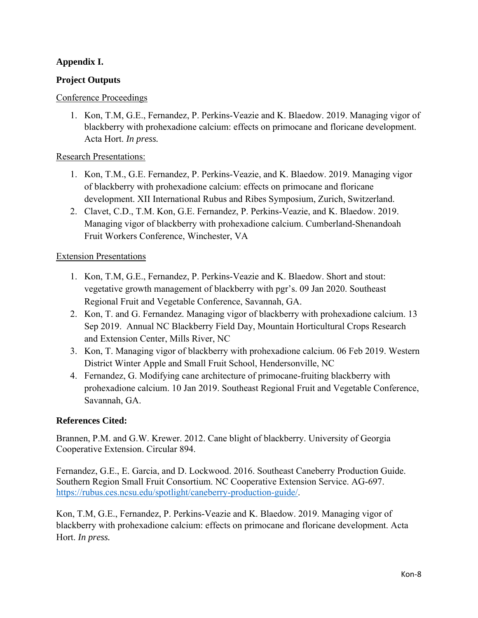# **Appendix I.**

# **Project Outputs**

#### Conference Proceedings

1. Kon, T.M, G.E., Fernandez, P. Perkins-Veazie and K. Blaedow. 2019. Managing vigor of blackberry with prohexadione calcium: effects on primocane and floricane development. Acta Hort. *In press.*

# Research Presentations:

- 1. Kon, T.M., G.E. Fernandez, P. Perkins-Veazie, and K. Blaedow. 2019. Managing vigor of blackberry with prohexadione calcium: effects on primocane and floricane development. XII International Rubus and Ribes Symposium, Zurich, Switzerland.
- 2. Clavet, C.D., T.M. Kon, G.E. Fernandez, P. Perkins-Veazie, and K. Blaedow. 2019. Managing vigor of blackberry with prohexadione calcium. Cumberland-Shenandoah Fruit Workers Conference, Winchester, VA

# Extension Presentations

- 1. Kon, T.M, G.E., Fernandez, P. Perkins-Veazie and K. Blaedow. Short and stout: vegetative growth management of blackberry with pgr's. 09 Jan 2020. Southeast Regional Fruit and Vegetable Conference, Savannah, GA.
- 2. Kon, T. and G. Fernandez. Managing vigor of blackberry with prohexadione calcium. 13 Sep 2019. Annual NC Blackberry Field Day, Mountain Horticultural Crops Research and Extension Center, Mills River, NC
- 3. Kon, T. Managing vigor of blackberry with prohexadione calcium. 06 Feb 2019. Western District Winter Apple and Small Fruit School, Hendersonville, NC
- 4. Fernandez, G. Modifying cane architecture of primocane-fruiting blackberry with prohexadione calcium. 10 Jan 2019. Southeast Regional Fruit and Vegetable Conference, Savannah, GA.

# **References Cited:**

Brannen, P.M. and G.W. Krewer. 2012. Cane blight of blackberry. University of Georgia Cooperative Extension. Circular 894.

Fernandez, G.E., E. Garcia, and D. Lockwood. 2016. Southeast Caneberry Production Guide. Southern Region Small Fruit Consortium. NC Cooperative Extension Service. AG-697. [https://rubus.ces.ncsu.edu/spotlight/caneberry-production-guide/.](https://rubus.ces.ncsu.edu/spotlight/caneberry-production-guide/)

Kon, T.M, G.E., Fernandez, P. Perkins-Veazie and K. Blaedow. 2019. Managing vigor of blackberry with prohexadione calcium: effects on primocane and floricane development. Acta Hort. *In press.*